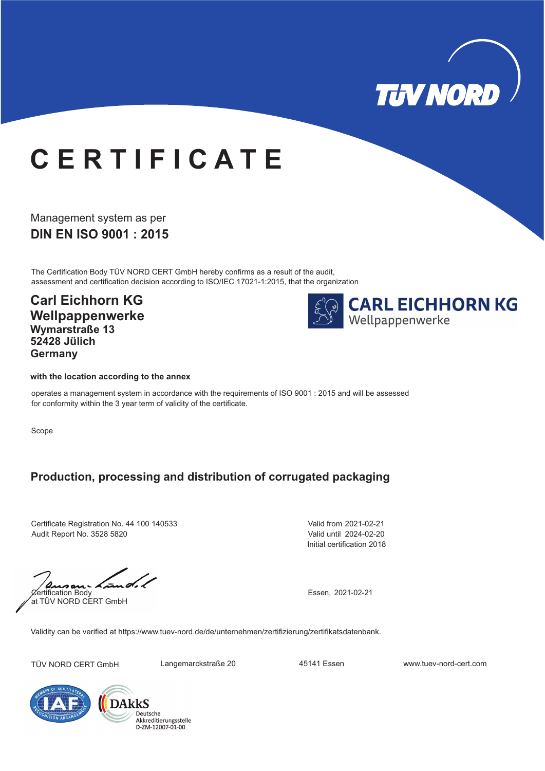

## **C E R T I F I C A T E**

**DIN EN ISO 9001 : 2015** Management system as per

The Certification Body TÜV NORD CERT GmbH hereby confirms as a result of the audit, assessment and certification decision according to ISO/IEC 17021-1:2015, that the organization

**Carl Eichhorn KG Wellpappenwerke Wymarstraße 13 52428 Jülich Germany**



## **with the location according to the annex**

operates a management system in accordance with the requirements of ISO 9001 : 2015 and will be assessed for conformity within the 3 year term of validity of the certificate.

Scope

## **Production, processing and distribution of corrugated packaging**

Certificate Registration No. 44 100 140533 Audit Report No. 3528 5820

Initial certification 2018 Valid from 2021-02-21 Valid until 2024-02-20

 $. d.$  $Q$ ertification Body at TÜV NORD CERT GmbH

Essen, 2021-02-21

Validity can be verified at https://www.tuev-nord.de/de/unternehmen/zertifizierung/zertifikatsdatenbank.

TÜV NORD CERT GmbH Langemarckstraße 20 45141 Essen www.tuev-nord-cert.com